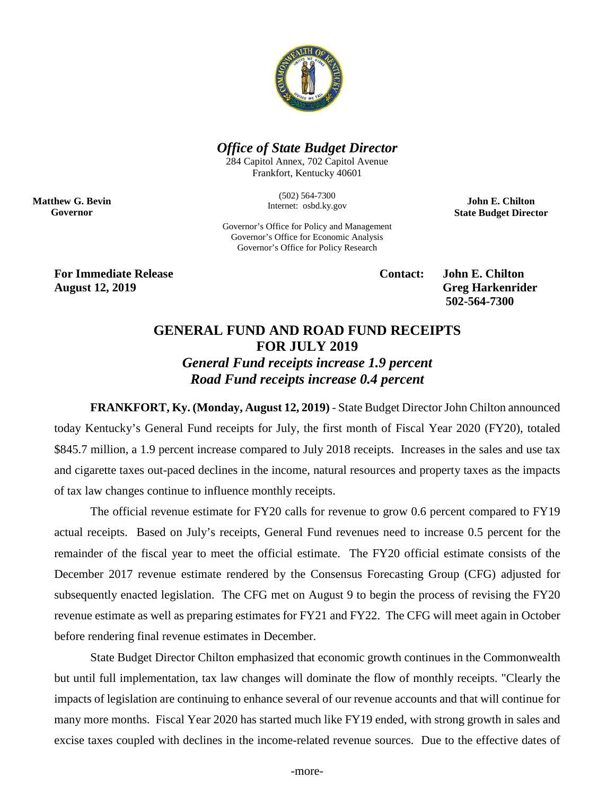

## *Office of State Budget Director*

284 Capitol Annex, 702 Capitol Avenue Frankfort, Kentucky 40601

> (502) 564-7300 Internet: osbd.ky.gov

**John E. Chilton State Budget Director**

Governor's Office for Policy and Management Governor's Office for Economic Analysis Governor's Office for Policy Research

**For Immediate Release Contact: John E. Chilton August 12, 2019 Greg Harkenrider**

**Matthew G. Bevin Governor**

**502-564-7300** 

## **GENERAL FUND AND ROAD FUND RECEIPTS FOR JULY 2019**

*General Fund receipts increase 1.9 percent Road Fund receipts increase 0.4 percent*

**FRANKFORT, Ky. (Monday, August 12, 2019)** - State Budget Director John Chilton announced today Kentucky's General Fund receipts for July, the first month of Fiscal Year 2020 (FY20), totaled \$845.7 million, a 1.9 percent increase compared to July 2018 receipts. Increases in the sales and use tax and cigarette taxes out-paced declines in the income, natural resources and property taxes as the impacts of tax law changes continue to influence monthly receipts.

The official revenue estimate for FY20 calls for revenue to grow 0.6 percent compared to FY19 actual receipts. Based on July's receipts, General Fund revenues need to increase 0.5 percent for the remainder of the fiscal year to meet the official estimate. The FY20 official estimate consists of the December 2017 revenue estimate rendered by the Consensus Forecasting Group (CFG) adjusted for subsequently enacted legislation. The CFG met on August 9 to begin the process of revising the FY20 revenue estimate as well as preparing estimates for FY21 and FY22. The CFG will meet again in October before rendering final revenue estimates in December.

State Budget Director Chilton emphasized that economic growth continues in the Commonwealth but until full implementation, tax law changes will dominate the flow of monthly receipts. "Clearly the impacts of legislation are continuing to enhance several of our revenue accounts and that will continue for many more months. Fiscal Year 2020 has started much like FY19 ended, with strong growth in sales and excise taxes coupled with declines in the income-related revenue sources. Due to the effective dates of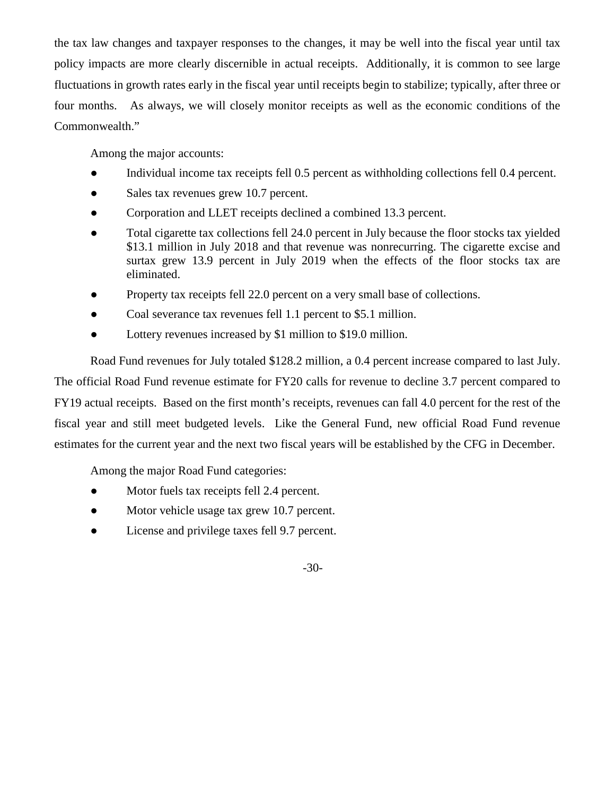the tax law changes and taxpayer responses to the changes, it may be well into the fiscal year until tax policy impacts are more clearly discernible in actual receipts. Additionally, it is common to see large fluctuations in growth rates early in the fiscal year until receipts begin to stabilize; typically, after three or four months. As always, we will closely monitor receipts as well as the economic conditions of the Commonwealth."

Among the major accounts:

- Individual income tax receipts fell 0.5 percent as withholding collections fell 0.4 percent.
- Sales tax revenues grew 10.7 percent.
- Corporation and LLET receipts declined a combined 13.3 percent.
- Total cigarette tax collections fell 24.0 percent in July because the floor stocks tax yielded \$13.1 million in July 2018 and that revenue was nonrecurring. The cigarette excise and surtax grew 13.9 percent in July 2019 when the effects of the floor stocks tax are eliminated.
- Property tax receipts fell 22.0 percent on a very small base of collections.
- Coal severance tax revenues fell 1.1 percent to \$5.1 million.
- Lottery revenues increased by \$1 million to \$19.0 million.

Road Fund revenues for July totaled \$128.2 million, a 0.4 percent increase compared to last July. The official Road Fund revenue estimate for FY20 calls for revenue to decline 3.7 percent compared to FY19 actual receipts. Based on the first month's receipts, revenues can fall 4.0 percent for the rest of the fiscal year and still meet budgeted levels. Like the General Fund, new official Road Fund revenue estimates for the current year and the next two fiscal years will be established by the CFG in December.

Among the major Road Fund categories:

- Motor fuels tax receipts fell 2.4 percent.
- Motor vehicle usage tax grew 10.7 percent.
- License and privilege taxes fell 9.7 percent.

-30-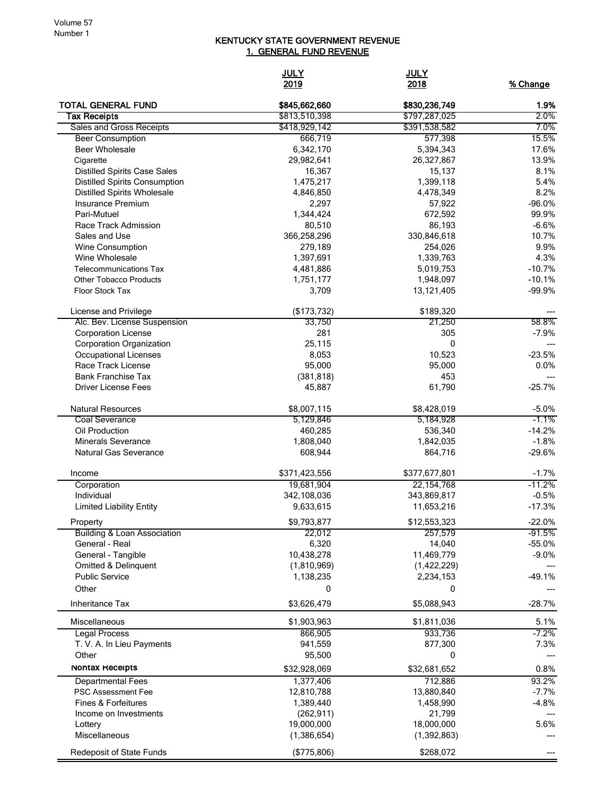## KENTUCKY STATE GOVERNMENT REVENUE 1. GENERAL FUND REVENUE

|                                                    | <b>JULY</b><br>2019      | <b>JULY</b><br>2018      | % Change         |
|----------------------------------------------------|--------------------------|--------------------------|------------------|
| <b>TOTAL GENERAL FUND</b>                          | \$845,662,660            | \$830,236,749            | 1.9%             |
| Tax Receipts                                       | \$813,510,398            | \$797,287,025            | $2.0\%$          |
| Sales and Gross Receipts                           | \$418,929,142            | \$391,538,582            | 7.0%             |
| <b>Beer Consumption</b>                            | 666,719                  | 577,398                  | 15.5%            |
| <b>Beer Wholesale</b>                              | 6,342,170                | 5,394,343                | 17.6%            |
| Cigarette<br><b>Distilled Spirits Case Sales</b>   | 29,982,641<br>16,367     | 26,327,867<br>15,137     | 13.9%<br>8.1%    |
| <b>Distilled Spirits Consumption</b>               | 1,475,217                | 1,399,118                | 5.4%             |
| <b>Distilled Spirits Wholesale</b>                 | 4,846,850                | 4,478,349                | 8.2%             |
| Insurance Premium                                  | 2,297                    | 57,922                   | $-96.0%$         |
| Pari-Mutuel                                        | 1,344,424                | 672,592                  | 99.9%            |
| Race Track Admission                               | 80,510                   | 86,193                   | $-6.6%$          |
| Sales and Use                                      | 366,258,296              | 330,846,618              | 10.7%            |
| Wine Consumption                                   | 279,189                  | 254,026                  | 9.9%             |
| Wine Wholesale                                     | 1,397,691                | 1,339,763                | 4.3%             |
| <b>Telecommunications Tax</b>                      | 4,481,886                | 5,019,753                | $-10.7%$         |
| <b>Other Tobacco Products</b>                      | 1,751,177                | 1,948,097                | $-10.1%$         |
| <b>Floor Stock Tax</b>                             | 3,709                    | 13,121,405               | $-99.9%$         |
| License and Privilege                              | (\$173,732)              | \$189,320                |                  |
| Alc. Bev. License Suspension                       | 33,750                   | 21,250                   | 58.8%            |
| <b>Corporation License</b>                         | 281                      | 305                      | $-7.9%$          |
| <b>Corporation Organization</b>                    | 25,115                   | 0                        |                  |
| <b>Occupational Licenses</b><br>Race Track License | 8,053<br>95,000          | 10,523                   | $-23.5%$<br>0.0% |
| <b>Bank Franchise Tax</b>                          | (381, 818)               | 95,000<br>453            |                  |
| <b>Driver License Fees</b>                         | 45,887                   | 61,790                   | $-25.7%$         |
| <b>Natural Resources</b>                           |                          |                          | $-5.0%$          |
| <b>Coal Severance</b>                              | \$8,007,115<br>5,129,846 | \$8,428,019<br>5,184,928 | $-1.1%$          |
| Oil Production                                     | 460,285                  | 536,340                  | $-14.2%$         |
| <b>Minerals Severance</b>                          | 1,808,040                | 1,842,035                | $-1.8%$          |
| <b>Natural Gas Severance</b>                       | 608,944                  | 864,716                  | $-29.6%$         |
| Income                                             | \$371,423,556            | \$377,677,801            | $-1.7%$          |
| Corporation                                        | 19,681,904               | 22, 154, 768             | $-11.2%$         |
| Individual                                         | 342,108,036              | 343,869,817              | $-0.5%$          |
| <b>Limited Liability Entity</b>                    | 9,633,615                | 11,653,216               | $-17.3%$         |
| Property                                           | \$9,793,877              | \$12,553,323             | -22.0%           |
| <b>Building &amp; Loan Association</b>             | 22,012                   | 257,579                  | -91.5%           |
| General - Real                                     | 6,320                    | 14,040                   | $-55.0%$         |
| General - Tangible                                 | 10,438,278               | 11,469,779               | $-9.0%$          |
| Omitted & Delinquent                               | (1,810,969)              | (1,422,229)              |                  |
| <b>Public Service</b><br>Other                     | 1,138,235<br>0           | 2,234,153<br>0           | $-49.1%$         |
| Inheritance Tax                                    | \$3,626,479              | \$5,088,943              | $-28.7%$         |
| Miscellaneous                                      | \$1,903,963              | \$1,811,036              | 5.1%             |
| <b>Legal Process</b>                               | 866,905                  | 933,736                  | $-7.2%$          |
| T. V. A. In Lieu Payments                          | 941,559                  | 877,300                  | 7.3%             |
| Other                                              | 95,500                   | 0                        |                  |
| NONTAX Receipts                                    | \$32,928,069             | \$32,681,652             | 0.8%             |
| <b>Departmental Fees</b>                           | 1,377,406                | 712,886                  | 93.2%            |
| <b>PSC Assessment Fee</b>                          | 12,810,788               | 13,880,840               | $-7.7%$          |
| Fines & Forfeitures                                | 1,389,440                | 1,458,990                | $-4.8%$          |
| Income on Investments                              | (262, 911)               | 21,799                   |                  |
| Lottery                                            | 19,000,000               | 18,000,000               | 5.6%             |
| Miscellaneous                                      | (1,386,654)              | (1, 392, 863)            |                  |
| <b>Redeposit of State Funds</b>                    | (\$775,806)              | \$268,072                |                  |